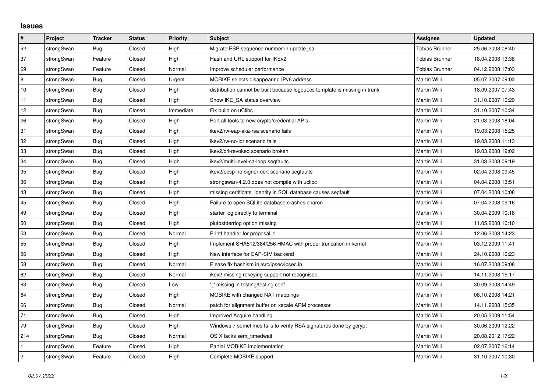## **Issues**

| #              | Project    | <b>Tracker</b> | <b>Status</b> | <b>Priority</b> | <b>Subject</b>                                                              | <b>Assignee</b>       | <b>Updated</b>   |
|----------------|------------|----------------|---------------|-----------------|-----------------------------------------------------------------------------|-----------------------|------------------|
| 52             | strongSwan | <b>Bug</b>     | Closed        | High            | Migrate ESP sequence number in update_sa                                    | <b>Tobias Brunner</b> | 25.06.2008 08:40 |
| 37             | strongSwan | Feature        | Closed        | High            | Hash and URL support for IKEv2                                              | <b>Tobias Brunner</b> | 18.04.2008 13:38 |
| 69             | strongSwan | Feature        | Closed        | Normal          | Improve scheduler performance                                               | <b>Tobias Brunner</b> | 04.12.2008 17:03 |
| 8              | strongSwan | <b>Bug</b>     | Closed        | Urgent          | MOBIKE selects disappearing IPv6 address                                    | Martin Willi          | 05.07.2007 09:03 |
| $10$           | strongSwan | Bug            | Closed        | High            | distribution cannot be built because logout.cs template is missing in trunk | Martin Willi          | 18.09.2007 07:43 |
| 11             | strongSwan | <b>Bug</b>     | Closed        | High            | Show IKE_SA status overview                                                 | <b>Martin Willi</b>   | 31.10.2007 10:29 |
| 12             | strongSwan | Bug            | Closed        | Immediate       | Fix build on uClibc                                                         | Martin Willi          | 31.10.2007 10:34 |
| 26             | strongSwan | Bug            | Closed        | High            | Port all tools to new crypto/credential APIs                                | Martin Willi          | 21.03.2008 18:04 |
| 31             | strongSwan | <b>Bug</b>     | Closed        | High            | ikev2/rw-eap-aka-rsa scenario fails                                         | Martin Willi          | 19.03.2008 15:25 |
| 32             | strongSwan | Bug            | Closed        | High            | ikev2/rw-no-idr scenario fails                                              | Martin Willi          | 19.03.2008 11:13 |
| $33\,$         | strongSwan | Bug            | Closed        | High            | ikev2/crl-revoked scenario broken                                           | Martin Willi          | 19.03.2008 19:02 |
| 34             | strongSwan | Bug            | Closed        | High            | ikev2/multi-level-ca-loop segfaults                                         | Martin Willi          | 31.03.2008 09:19 |
| 35             | strongSwan | Bug            | Closed        | High            | ikev2/ocsp-no-signer-cert scenario segfaults                                | Martin Willi          | 02.04.2008 09:45 |
| 36             | strongSwan | Bug            | Closed        | High            | strongswan-4.2.0 does not compile with uclibc                               | Martin Willi          | 04.04.2008 13:51 |
| 43             | strongSwan | Bug            | Closed        | High            | missing certificate identity in SQL database causes segfault                | Martin Willi          | 07.04.2008 10:08 |
| 45             | strongSwan | Bug            | Closed        | High            | Failure to open SQLite database crashes charon                              | Martin Willi          | 07.04.2008 09:16 |
| 49             | strongSwan | Bug            | Closed        | High            | starter log directly to terminal                                            | Martin Willi          | 30.04.2009 10:18 |
| 50             | strongSwan | Bug            | Closed        | High            | plutostderrlog option missing                                               | Martin Willi          | 11.05.2008 10:10 |
| 53             | strongSwan | <b>Bug</b>     | Closed        | Normal          | Printf handler for proposal t                                               | Martin Willi          | 12.06.2008 14:23 |
| 55             | strongSwan | Bug            | Closed        | High            | Implement SHA512/384/256 HMAC with proper truncation in kernel              | Martin Willi          | 03.12.2009 11:41 |
| 56             | strongSwan | Bug            | Closed        | High            | New interface for EAP-SIM backend                                           | Martin Willi          | 24.10.2008 10:23 |
| 58             | strongSwan | <b>Bug</b>     | Closed        | Normal          | Please fix bashism in /src/ipsec/ipsec.in                                   | Martin Willi          | 16.07.2008 09:08 |
| 62             | strongSwan | Bug            | Closed        | Normal          | ikev2 missing rekeying support not recognised                               | Martin Willi          | 14.11.2008 15:17 |
| 63             | strongSwan | Bug            | Closed        | Low             | missing in testing/testing.conf                                             | Martin Willi          | 30.09.2008 14:49 |
| 64             | strongSwan | Bug            | Closed        | High            | MOBIKE with changed NAT mappings                                            | Martin Willi          | 08.10.2008 14:21 |
| 66             | strongSwan | Bug            | Closed        | Normal          | patch for alignment buffer on xscale ARM processor                          | Martin Willi          | 14.11.2008 15:35 |
| 71             | strongSwan | Bug            | Closed        | High            | Improved Acquire handling                                                   | Martin Willi          | 20.05.2009 11:54 |
| 79             | strongSwan | <b>Bug</b>     | Closed        | High            | Windows 7 sometimes fails to verify RSA signatures done by gcrypt           | Martin Willi          | 30.06.2009 12:22 |
| 214            | strongSwan | Bug            | Closed        | Normal          | OS X lacks sem timedwait                                                    | Martin Willi          | 20.08.2012 17:22 |
| $\mathbf{1}$   | strongSwan | Feature        | Closed        | High            | Partial MOBIKE implementation                                               | Martin Willi          | 02.07.2007 16:14 |
| $\overline{c}$ | strongSwan | Feature        | Closed        | High            | Complete MOBIKE support                                                     | Martin Willi          | 31.10.2007 10:30 |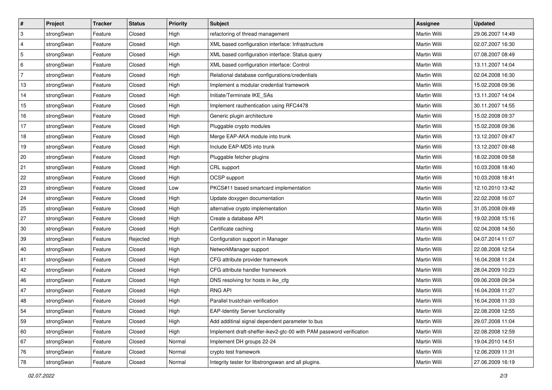| $\vert$ #      | Project    | <b>Tracker</b> | <b>Status</b> | <b>Priority</b> | <b>Subject</b>                                                      | <b>Assignee</b>     | <b>Updated</b>   |
|----------------|------------|----------------|---------------|-----------------|---------------------------------------------------------------------|---------------------|------------------|
| 3              | strongSwan | Feature        | Closed        | High            | refactoring of thread management                                    | Martin Willi        | 29.06.2007 14:49 |
| $\overline{4}$ | strongSwan | Feature        | Closed        | High            | XML based configuration interface: Infrastructure                   | <b>Martin Willi</b> | 02.07.2007 16:30 |
| 5              | strongSwan | Feature        | Closed        | High            | XML based configuration interface: Status query                     | Martin Willi        | 07.08.2007 08:49 |
| 6              | strongSwan | Feature        | Closed        | High            | XML based configuration interface: Control                          | Martin Willi        | 13.11.2007 14:04 |
| 7              | strongSwan | Feature        | Closed        | High            | Relational database configurations/credentials                      | Martin Willi        | 02.04.2008 16:30 |
| 13             | strongSwan | Feature        | Closed        | High            | Implement a modular credential framework                            | Martin Willi        | 15.02.2008 09:36 |
| 14             | strongSwan | Feature        | Closed        | High            | Initiate/Terminate IKE_SAs                                          | Martin Willi        | 13.11.2007 14:04 |
| 15             | strongSwan | Feature        | Closed        | High            | Implement rauthentication using RFC4478                             | Martin Willi        | 30.11.2007 14:55 |
| 16             | strongSwan | Feature        | Closed        | High            | Generic plugin architecture                                         | Martin Willi        | 15.02.2008 09:37 |
| 17             | strongSwan | Feature        | Closed        | High            | Pluggable crypto modules                                            | Martin Willi        | 15.02.2008 09:36 |
| 18             | strongSwan | Feature        | Closed        | High            | Merge EAP-AKA module into trunk                                     | Martin Willi        | 13.12.2007 09:47 |
| 19             | strongSwan | Feature        | Closed        | High            | Include EAP-MD5 into trunk                                          | Martin Willi        | 13.12.2007 09:48 |
| 20             | strongSwan | Feature        | Closed        | High            | Pluggable fetcher plugins                                           | <b>Martin Willi</b> | 18.02.2008 09:58 |
| 21             | strongSwan | Feature        | Closed        | High            | CRL support                                                         | Martin Willi        | 10.03.2008 18:40 |
| 22             | strongSwan | Feature        | Closed        | High            | OCSP support                                                        | <b>Martin Willi</b> | 10.03.2008 18:41 |
| 23             | strongSwan | Feature        | Closed        | Low             | PKCS#11 based smartcard implementation                              | Martin Willi        | 12.10.2010 13:42 |
| 24             | strongSwan | Feature        | Closed        | High            | Update doxygen documentation                                        | <b>Martin Willi</b> | 22.02.2008 16:07 |
| 25             | strongSwan | Feature        | Closed        | High            | alternative crypto implementation                                   | Martin Willi        | 31.05.2008 09:49 |
| 27             | strongSwan | Feature        | Closed        | High            | Create a database API                                               | Martin Willi        | 19.02.2008 15:16 |
| $30\,$         | strongSwan | Feature        | Closed        | High            | Certificate caching                                                 | Martin Willi        | 02.04.2008 14:50 |
| 39             | strongSwan | Feature        | Rejected      | High            | Configuration support in Manager                                    | Martin Willi        | 04.07.2014 11:07 |
| 40             | strongSwan | Feature        | Closed        | High            | NetworkManager support                                              | Martin Willi        | 22.08.2008 12:54 |
| 41             | strongSwan | Feature        | Closed        | High            | CFG attribute provider framework                                    | Martin Willi        | 16.04.2008 11:24 |
| 42             | strongSwan | Feature        | Closed        | High            | CFG attribute handler framework                                     | Martin Willi        | 28.04.2009 10:23 |
| 46             | strongSwan | Feature        | Closed        | High            | DNS resolving for hosts in ike_cfg                                  | Martin Willi        | 09.06.2008 09:34 |
| 47             | strongSwan | Feature        | Closed        | High            | <b>RNG API</b>                                                      | Martin Willi        | 16.04.2008 11:27 |
| 48             | strongSwan | Feature        | Closed        | High            | Parallel trustchain verification                                    | Martin Willi        | 16.04.2008 11:33 |
| 54             | strongSwan | Feature        | Closed        | High            | <b>EAP-Identity Server functionality</b>                            | Martin Willi        | 22.08.2008 12:55 |
| 59             | strongSwan | Feature        | Closed        | High            | Add additinal signal dependent parameter to bus                     | Martin Willi        | 29.07.2008 11:04 |
| 60             | strongSwan | Feature        | Closed        | High            | Implement draft-sheffer-ikev2-gtc-00 with PAM password verification | Martin Willi        | 22.08.2008 12:59 |
| 67             | strongSwan | Feature        | Closed        | Normal          | Implement DH groups 22-24                                           | Martin Willi        | 19.04.2010 14:51 |
| 76             | strongSwan | Feature        | Closed        | Normal          | crypto test framework                                               | Martin Willi        | 12.06.2009 11:31 |
| 78             | strongSwan | Feature        | Closed        | Normal          | Integrity tester for libstrongswan and all plugins.                 | Martin Willi        | 27.06.2009 16:19 |